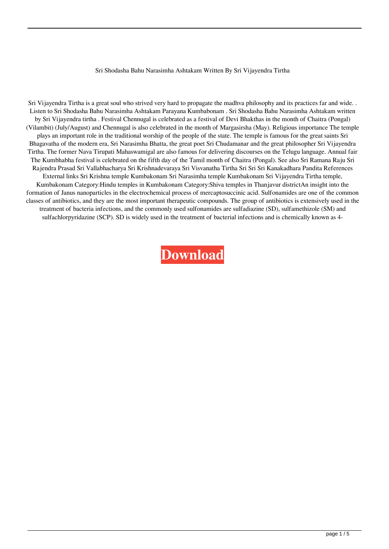## Sri Shodasha Bahu Narasimha Ashtakam Written By Sri Vijayendra Tirtha

Sri Vijayendra Tirtha is a great soul who strived very hard to propagate the madhva philosophy and its practices far and wide. . Listen to Sri Shodasha Bahu Narasimha Ashtakam Parayana Kumbabonam . Sri Shodasha Bahu Narasimha Ashtakam written by Sri Vijayendra tirtha . Festival Chennugal is celebrated as a festival of Devi Bhakthas in the month of Chaitra (Pongal) (Vilambit) (July/August) and Chennugal is also celebrated in the month of Margasirsha (May). Religious importance The temple plays an important role in the traditional worship of the people of the state. The temple is famous for the great saints Sri Bhagavatha of the modern era, Sri Narasimha Bhatta, the great poet Sri Chudamanar and the great philosopher Sri Vijayendra Tirtha. The former Nava Tirupati Mahaswamigal are also famous for delivering discourses on the Telugu language. Annual fair The Kumbhabha festival is celebrated on the fifth day of the Tamil month of Chaitra (Pongal). See also Sri Ramana Raju Sri Rajendra Prasad Sri Vallabhacharya Sri Krishnadevaraya Sri Visvanatha Tirtha Sri Sri Sri Kanakadhara Pandita References External links Sri Krishna temple Kumbakonam Sri Narasimha temple Kumbakonam Sri Vijayendra Tirtha temple, Kumbakonam Category:Hindu temples in Kumbakonam Category:Shiva temples in Thanjavur districtAn insight into the formation of Janus nanoparticles in the electrochemical process of mercaptosuccinic acid. Sulfonamides are one of the common classes of antibiotics, and they are the most important therapeutic compounds. The group of antibiotics is extensively used in the treatment of bacteria infections, and the commonly used sulfonamides are sulfadiazine (SD), sulfamethizole (SM) and sulfachlorpyridazine (SCP). SD is widely used in the treatment of bacterial infections and is chemically known as 4-

**[Download](http://evacdir.com/cimetidine/U3JpIFNob2Rhc2hhIEJhaHUgTmFyYXNpbWhhIEFzaHRha2FtIFdyaXR0ZW4gQnkgU3JpIFZpamF5ZW5kcmEgVGlydGhhU3J/viacom.firzan.arki/?locally=ZG93bmxvYWR8WHg4TVdFeGRueDhNVFkxTWpjME1EZzJObng4TWpVM05IeDhLRTBwSUhKbFlXUXRZbXh2WnlCYlJtRnpkQ0JIUlU1ZA)**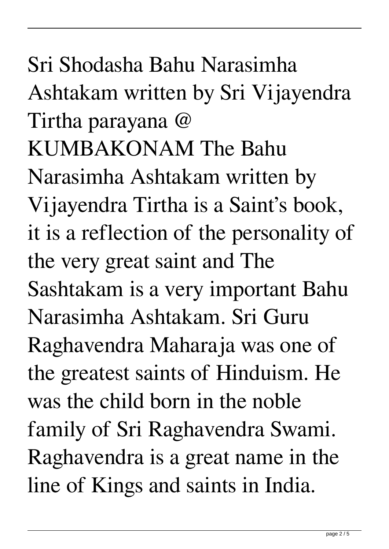Sri Shodasha Bahu Narasimha Ashtakam written by Sri Vijayendra Tirtha parayana @ KUMBAKONAM The Bahu Narasimha Ashtakam written by Vijayendra Tirtha is a Saint's book, it is a reflection of the personality of the very great saint and The Sashtakam is a very important Bahu Narasimha Ashtakam. Sri Guru Raghavendra Maharaja was one of the greatest saints of Hinduism. He was the child born in the noble family of Sri Raghavendra Swami. Raghavendra is a great name in the line of Kings and saints in India.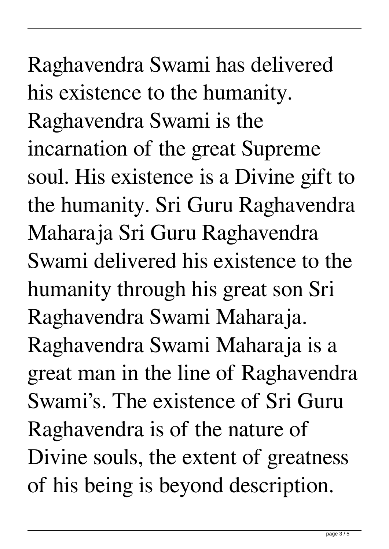## Raghavendra Swami has delivered his existence to the humanity. Raghavendra Swami is the incarnation of the great Supreme soul. His existence is a Divine gift to the humanity. Sri Guru Raghavendra Maharaja Sri Guru Raghavendra Swami delivered his existence to the humanity through his great son Sri Raghavendra Swami Maharaja. Raghavendra Swami Maharaja is a great man in the line of Raghavendra Swami's. The existence of Sri Guru Raghavendra is of the nature of Divine souls, the extent of greatness of his being is beyond description.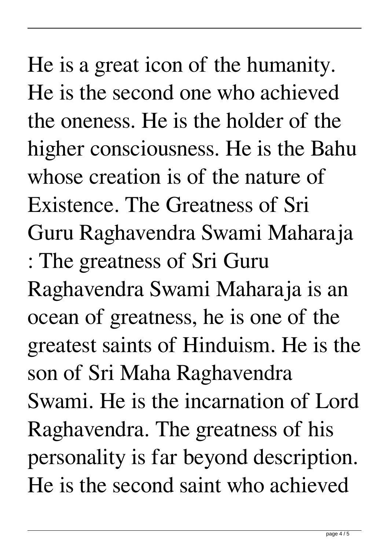He is a great icon of the humanity. He is the second one who achieved the oneness. He is the holder of the higher consciousness. He is the Bahu whose creation is of the nature of Existence. The Greatness of Sri Guru Raghavendra Swami Maharaja : The greatness of Sri Guru Raghavendra Swami Maharaja is an ocean of greatness, he is one of the greatest saints of Hinduism. He is the son of Sri Maha Raghavendra Swami. He is the incarnation of Lord Raghavendra. The greatness of his personality is far beyond description. He is the second saint who achieved